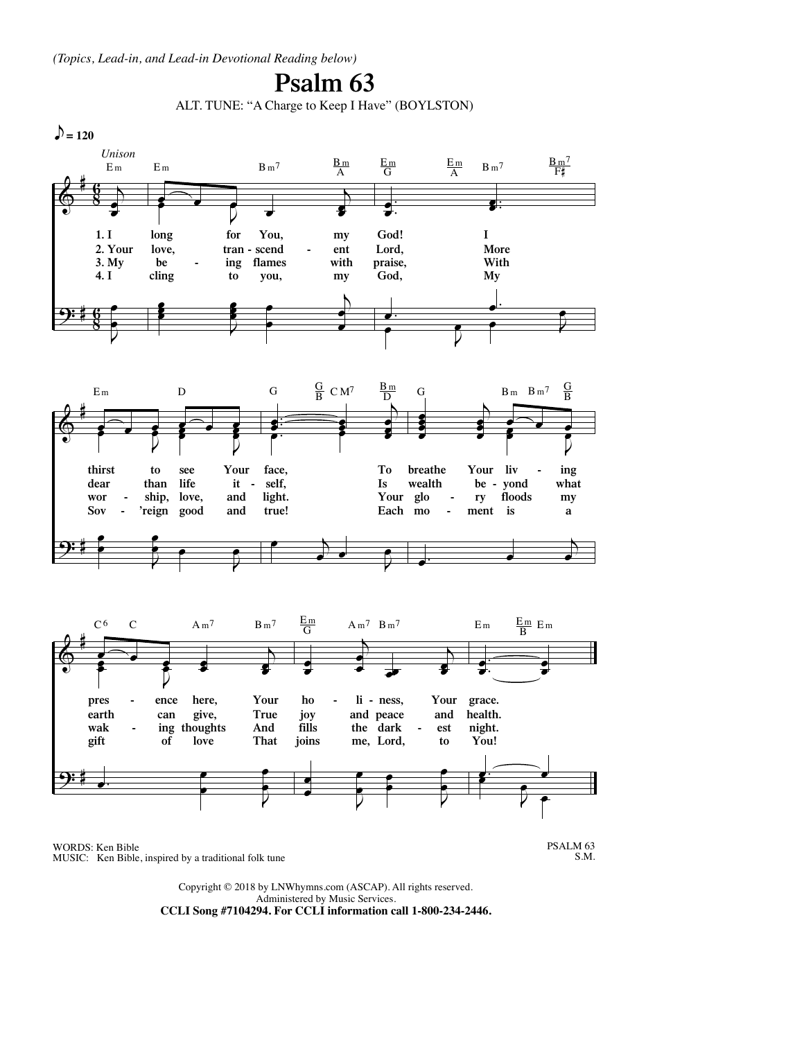*(Topics, Lead-in, and Lead-in Devotional Reading below)*







Copyright © 2018 by LNWhymns.com (ASCAP). All rights reserved. Administered by Music Services. **CCLI Song #7104294. For CCLI information call 1-800-234-2446.**